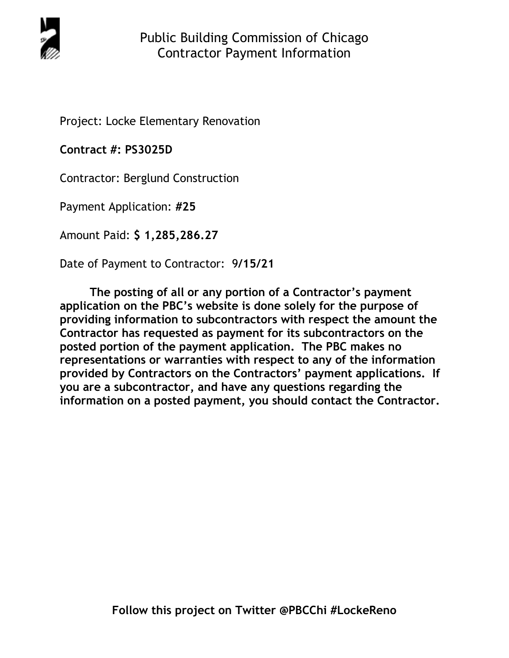

Project: Locke Elementary Renovation

**Contract #: PS3025D**

Contractor: Berglund Construction

Payment Application: **#25** 

Amount Paid: **\$ 1,285,286.27** 

Date of Payment to Contractor: 9**/15/21** 

**The posting of all or any portion of a Contractor's payment application on the PBC's website is done solely for the purpose of providing information to subcontractors with respect the amount the Contractor has requested as payment for its subcontractors on the posted portion of the payment application. The PBC makes no representations or warranties with respect to any of the information provided by Contractors on the Contractors' payment applications. If you are a subcontractor, and have any questions regarding the information on a posted payment, you should contact the Contractor.**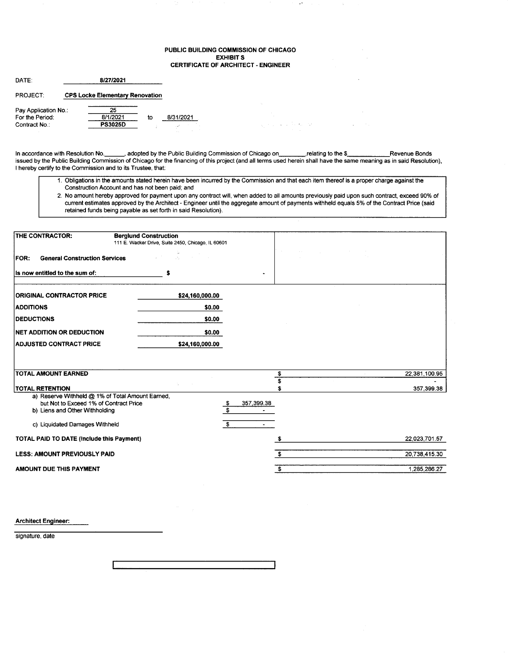### PUBLIC BUILDING COMMISSION OF CHICAGO **EXHIBIT S** CERTIFICATE OF ARCHITECT - ENGINEER

Ų.

 $\chi_1$  is a constant for the state  $\chi_1$  ,  $\chi_2$  ,  $\chi_3$  ,  $\chi_4$  ,  $\chi_5$  , and

| DATE:                | 8/27/2021 |                                        |    |           |  |  |  |
|----------------------|-----------|----------------------------------------|----|-----------|--|--|--|
| <b>PROJECT:</b>      |           | <b>CPS Locke Elementary Renovation</b> |    |           |  |  |  |
| Pay Application No.: |           | 25                                     |    |           |  |  |  |
| For the Period:      |           | 8/1/2021                               | to | 8/31/2021 |  |  |  |
| Contract No.:        |           | <b>PS3025D</b>                         |    |           |  |  |  |

In accordance with Resolution No. \_\_\_\_\_\_, adopted by the Public Building Commission of Chicago on\_\_\_\_\_\_\_\_\_\_relating to the \$\_\_\_\_\_\_\_\_\_\_\_\_\_\_\_\_\_Revenue Bonds issued by the Public Building Commission of Chicago for the financing of this project (and all terms used herein shall have the same meaning as in said Resolution), I hereby certify to the Commission and to its Trustee, that:

- 1. Obligations in the amounts stated herein have been incurred by the Commission and that each item thereof is a proper charge against the Construction Account and has not been paid; and
- 2. No amount hereby approved for payment upon any contract will, when added to all amounts previously paid upon such contract, exceed 90% of current estimates approved by the Architect - Engineer until the aggregate amount of payments withheld equals 5% of the Contract Price (said retained funds being payable as set forth in said Resolution).

| THE CONTRACTOR:                                                                                                                                                | <b>Berglund Construction</b><br>111 E. Wacker Drive, Suite 2450, Chicago, IL 60601 |                                                                     |               |
|----------------------------------------------------------------------------------------------------------------------------------------------------------------|------------------------------------------------------------------------------------|---------------------------------------------------------------------|---------------|
| <b>General Construction Services</b><br><b>FOR:</b>                                                                                                            | A.                                                                                 | $\sim 10^{-1}$                                                      |               |
| Is now entitled to the sum of:                                                                                                                                 | s                                                                                  |                                                                     |               |
| <b>ORIGINAL CONTRACTOR PRICE</b>                                                                                                                               | \$24,160,000.00                                                                    |                                                                     |               |
| <b>ADDITIONS</b>                                                                                                                                               | \$0.00                                                                             |                                                                     |               |
| <b>DEDUCTIONS</b>                                                                                                                                              | \$0.00                                                                             |                                                                     |               |
| <b>INET ADDITION OR DEDUCTION</b>                                                                                                                              | \$0.00                                                                             |                                                                     |               |
| <b>ADJUSTED CONTRACT PRICE</b>                                                                                                                                 | \$24,160,000.00                                                                    |                                                                     |               |
|                                                                                                                                                                |                                                                                    |                                                                     |               |
| <b>TOTAL AMOUNT EARNED</b>                                                                                                                                     |                                                                                    | \$                                                                  | 22,381,100.95 |
| <b>TOTAL RETENTION</b>                                                                                                                                         |                                                                                    | S.                                                                  | 357,399.38    |
| a) Reserve Withheld @ 1% of Total Amount Earned,<br>but Not to Exceed 1% of Contract Price<br>b) Liens and Other Withholding<br>c) Liquidated Damages Withheld |                                                                                    | 357,399.38<br>\$<br>$\overline{\mathbf{s}}$<br>\$<br>$\blacksquare$ |               |
| TOTAL PAID TO DATE (Include this Payment)                                                                                                                      |                                                                                    |                                                                     | 22,023,701.57 |
| <b>LESS: AMOUNT PREVIOUSLY PAID</b>                                                                                                                            |                                                                                    | £.                                                                  | 20,738,415.30 |
|                                                                                                                                                                |                                                                                    |                                                                     | 1,285,286.27  |

Architect Engineer:

signature, date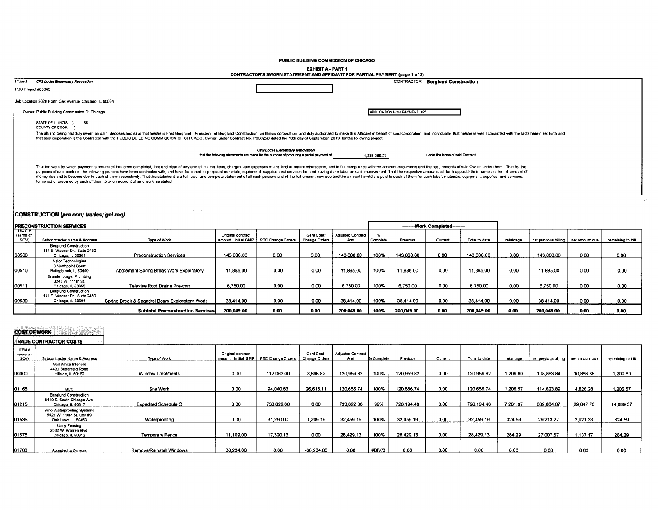PUBLIC BUILDING COMMISSION OF CHICAGO

EXHIBIT A - PART 1

|         |                                                                                                                                                                                                                                                                                                                                                                                                                                                                                                                                                                                                                                                                                                                                                                                       | CONTRACTOR'S SWORN STATEMENT AND AFFIDAVIT FOR PARTIAL PAYMENT (page 1 of 2)                                                       |                             |                                   |
|---------|---------------------------------------------------------------------------------------------------------------------------------------------------------------------------------------------------------------------------------------------------------------------------------------------------------------------------------------------------------------------------------------------------------------------------------------------------------------------------------------------------------------------------------------------------------------------------------------------------------------------------------------------------------------------------------------------------------------------------------------------------------------------------------------|------------------------------------------------------------------------------------------------------------------------------------|-----------------------------|-----------------------------------|
| Project | CPS Locke Elementary Revovation                                                                                                                                                                                                                                                                                                                                                                                                                                                                                                                                                                                                                                                                                                                                                       |                                                                                                                                    |                             | CONTRACTOR Berglund Construction  |
|         | PBC Project #05345                                                                                                                                                                                                                                                                                                                                                                                                                                                                                                                                                                                                                                                                                                                                                                    |                                                                                                                                    |                             |                                   |
|         | Job Location 2828 North Oak Avenue, Chicago, IL 60634                                                                                                                                                                                                                                                                                                                                                                                                                                                                                                                                                                                                                                                                                                                                 |                                                                                                                                    |                             |                                   |
|         | Owner Public Building Commission Of Chicago                                                                                                                                                                                                                                                                                                                                                                                                                                                                                                                                                                                                                                                                                                                                           |                                                                                                                                    | APPLICATION FOR PAYMENT #25 |                                   |
|         | STATE OF ILLINOIS }<br><b>SS</b><br>COUNTY OF COOK                                                                                                                                                                                                                                                                                                                                                                                                                                                                                                                                                                                                                                                                                                                                    |                                                                                                                                    |                             |                                   |
|         | The affiant, being first duly sworn on oath, deposes and says that hershe is Fred Berglund - President; of Berglund Construction, an Illinois corporation, and duly authorized to make this Affidavit in behalf of said corpor<br>that said corporation is the Contractor with the PUBLIC BUILDING COMMISSION OF CHICAGO, Owner, under Contract No. PS3025D dated the 10th day of September, 2019, for the following project:                                                                                                                                                                                                                                                                                                                                                         |                                                                                                                                    |                             |                                   |
|         |                                                                                                                                                                                                                                                                                                                                                                                                                                                                                                                                                                                                                                                                                                                                                                                       | <b>CPS Locke Elementary Renovation</b><br>that the following statements are made for the purpose of procuring a partial payment of | 1,285,286.27                | under the terms of said Contract: |
|         | That the work for which payment is requested has been completed, free and clear of any and all claims, liens, charges, and expenses of any kind or nature whatsoever, and in full compliance with the contract documents and t<br>purposes of said contract, the following persons have been contracted with, and have furnished or prepared materials, equipment, supplies, and services for, and having done labor on said improvement. That the respective am<br>money due and to become due to each of them respectively. That this statement is a full, true, and complete statement of all such persons and of the full amount now due and the amount heretofore paid to each of them for su<br>furnished or prepared by each of them to or on account of said work, as stated: |                                                                                                                                    |                             |                                   |
|         |                                                                                                                                                                                                                                                                                                                                                                                                                                                                                                                                                                                                                                                                                                                                                                                       |                                                                                                                                    |                             |                                   |

# CONSTRUCTION (pre con; trades; gel req)

| <b>IPRECONSTRUCTION SERVICES</b> |                                                                                    |                                               |                                          |                   |                                    |                                 |          | --------Work Completed-------- |         |               |           |                                       |      |                   |
|----------------------------------|------------------------------------------------------------------------------------|-----------------------------------------------|------------------------------------------|-------------------|------------------------------------|---------------------------------|----------|--------------------------------|---------|---------------|-----------|---------------------------------------|------|-------------------|
| TTEM#<br>(same on<br>SOV)        | Subcontractor Name & Address                                                       | Type of Work                                  | Original contract<br>amount: initial GMP | PBC Change Orders | Geni Contr<br><b>Change Orders</b> | <b>Adjusted Contract</b><br>Amt | Complete | Previous                       | Current | Total to date | retainage | net previous billing   net amount due |      | remaining to bill |
| 00500                            | <b>Berglund Construction</b><br>111 E. Wacker Dr., Suite 2450<br>Chicago, IL 60601 | Preconstruction Services                      | 143,000.00                               | 0.00              | 0.00                               | 143,000.00                      | 100%     | 143.000.00                     | 0.00    | 143,000.00    | 0.00      | 143.000.00                            | 0.00 | 0.00              |
| 00510                            | Valor Technologies<br>3 Northpoint Court<br>Bolingbrook, IL 60440                  | Abatement Spring Break Work Exploratory       | 11.885.00                                | 0.00              | 0.00                               | 11.885.00                       | 100%     | 11,885.00                      | 0.00    | 1.885.00      | 0.00      | 11.885.00                             | 0.00 | 0.00              |
| 00511                            | Brandenburger Plumbing<br>3245 W 111th St.<br>Chicago, IL 60655                    | Televise Roof Drains Pre-con                  | 6,750.00                                 | 0.00              | 0.00                               | 6,750.00                        | 100%     | 6,750.00                       | 0.00    | 6,750.00      | 0.00      | 6.750.00                              | 0.00 | 0.00              |
| 100530                           | <b>Berglund Construction</b><br>111 E. Wacker Dr., Suite 2450<br>Chicago, IL 60601 | Spring Break & Spandrel Beam Exploratory Work | 38.414.00                                | 0.00              | 0.00                               | 38.414.00                       | 100%     | 38.414.00                      | 0.00    | 38.414.00     | 0.00      | 38.414.00                             | 0.00 | 0.00              |
|                                  |                                                                                    | <b>Subtotal Preconstruction Services</b>      | 200.049.00                               | 0.00              | 0.00                               | 200.049.00                      | 100%     | 200.049.00                     | 0.00    | 200.049.00    | 0.00      | 200.049.00                            | 0.00 | 0.00              |

# **COST OF WORK**

|                            | <b>ITRADE CONTRACTOR COSTS</b>                                                  |                             |                                          |                   |                             |                                 |            |            |         |               |           |                      |                |                   |
|----------------------------|---------------------------------------------------------------------------------|-----------------------------|------------------------------------------|-------------------|-----------------------------|---------------------------------|------------|------------|---------|---------------|-----------|----------------------|----------------|-------------------|
| ITEM #<br>(same on<br>SOV) | Subcontractor Name & Address                                                    | Type of Work                | Original contract<br>amount: Initial GMP | PBC Change Orders | Geni Contr<br>Change Orders | <b>Adjusted Contract</b><br>Amt | 6 Complete | Previous   | Current | Total to date | retainage | net previous billing | net amount due | remaining to bill |
| 00000                      | Gail White Interiors<br>4430 Butterfield Road<br>Hillside, IL 60162             | <b>Window Treatments</b>    | 0.00                                     | 112,063.00        | 8.896.82                    | 120 959 82                      | 100%       | 120,959.82 | 0.00    | 120,959.82    | 1,209.60  | 108,863.84           | 10,886.38      | 1,209.60          |
| 01168                      | <b>BCC</b>                                                                      | Site Work                   | 0.00                                     | 94,040.63         | 26,616.11                   | 120,656.74                      | 100%       | 120,656.74 | 0.00    | 120.656.74    | 1,206.57  | 114.623.89           | 4.826.28       | 1.206.57          |
| 01215                      | <b>Berglund Construction</b><br>8410 S. South Chicago Ave.<br>Chicago, IL 60617 | <b>Expedited Schedule C</b> | 0.00                                     | 733,022.00        | 0.00                        | 733.022.00                      | 99%        | 726,194.40 | 0.00    | 726,194.40    | 7.261.97  | 689.884.67           | 29,047.76      | 14.089.57         |
| 01535                      | Bofo Waterproofing Systems<br>5521 W. 110th St. Unit #9<br>Oak Lawn, IL 60453   | Waterproofing               | 0.00                                     | 31.250.00         | 1,209.19                    | 32,459.19                       | 100%       | 32.459.19  | 0.00    | 32.459.19     | 324.59    | 29,213.27            | 2.921.33       | 324.59            |
| 01575                      | Unity Fencing<br>2532 W. Warren Blvd.<br>Chicago, IL 60612                      | Temporary Fence             | 11.109.00                                | 17.320.13         | 0.00                        | 28.429.13                       | 100%       | 28.429.13  | 0.00    | 28.429.13     | 284.29    | 27,007.67            | 137.17         | 284.29            |
| 01700                      | Awarded to Ornelas                                                              | Remove/Reinstall Windows    | 36,234.00                                | 0.00              | $-36,234.00$                | 0.00                            | #DIV/0!    | 0.00       | 0.00    | 0.00          | 0.00      | 0.00                 | 0.00           | 0.00              |

 $\sim$